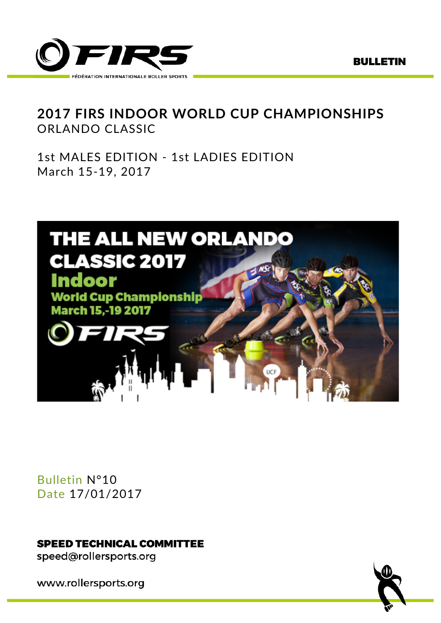

# **2017 FIRS INDOOR WORLD CUP CHAMPIONSHIPS** ORLANDO CLASSIC

1st MALES EDITION - 1st LADIES EDITION March 15-19, 2017



Bulletin N°10 Date 17/01/2017

**SPEED TECHNICAL COMMITTEE** 

speed@rollersports.org

www.rollersports.org

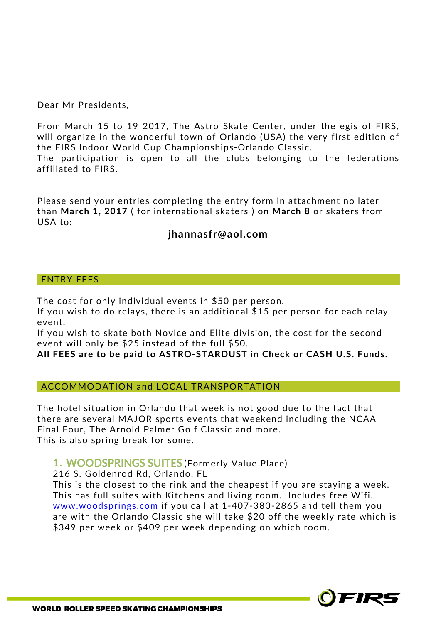Dear Mr Presidents,

From March 15 to 19 2017, The Astro Skate Center, under the egis of FIRS, will organize in the wonderful town of Orlando (USA) the very first edition of the FIRS Indoor World Cup Championships-Orlando Classic.

The participation is open to all the clubs belonging to the federations affiliated to FIRS.

Please send your entries completing the entry form in attachment no later than **March 1, 2017** ( for international skaters ) on **March 8** or skaters from USA to:

## **jhannasfr@aol.com**

#### ENTRY FEES

The cost for only individual events in \$50 per person.

If you wish to do relays, there is an additional \$15 per person for each relay event.

If you wish to skate both Novice and Elite division, the cost for the second event will only be \$25 instead of the full \$50.

**All FEES are to be paid to ASTRO-STARDUST in Check or CASH U.S. Funds**.

ACCOMMODATION and LOCAL TRANSPORTATION

The hotel situation in Orlando that week is not good due to the fact that there are several MAJOR sports events that weekend including the NCAA Final Four, The Arnold Palmer Golf Classic and more. This is also spring break for some.

### 1. WOODSPRINGS SUITES (Formerly Value Place)

216 S. Goldenrod Rd, Orlando, FL

This is the closest to the rink and the cheapest if you are staying a week. This has full suites with Kitchens and living room. Includes free Wifi. www.woodsprings.com if you call at 1-407-380-2865 and tell them you are with the Orlando Classic she will take \$20 off the weekly rate which is \$349 per week or \$409 per week depending on which room.